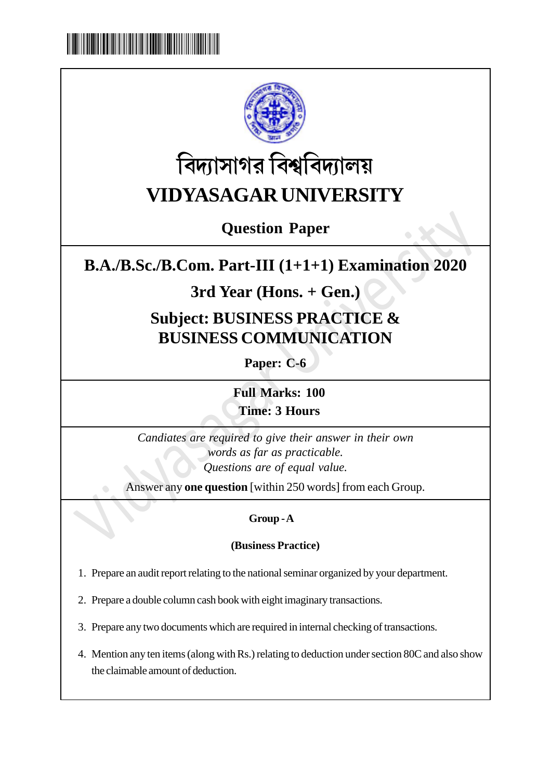



# **বিদ্যাসাগর বিশ্ববিদ্যালয় VIDYASAGAR UNIVERSITY**

## **Question Paper**

## **B.A./B.Sc./B.Com. Part-III (1+1+1) Examination 2020**

## **3rd Year (Hons. + Gen.)**

## **Subject: BUSINESS PRACTICE & BUSINESS COMMUNICATION**

**Paper: C-6**

**Full Marks: 100 Time: 3 Hours**

**Example 18 A./B.Sc./B.Com. Part-III** (1+1+1) Examination 2020<br>
3rd Year (Hons. + Gen.)<br>
Subject: BUSINESS PRACTICE &<br>
BUSINESS COMMUNICATION<br>
Paper: C-6<br>
Full Marks: 100<br>
Time: 3 Hours<br>
Candiates are required to give the *Candiates are required to give their answer in their own words as far as practicable. Questions are of equal value.*

Answer any **one question** [within 250 words] from each Group.

### **Group - A**

### **(Business Practice)**

- 1. Prepare an audit report relating to the national seminar organized by your department.
- 2. Prepare a double column cash book with eight imaginary transactions.
- 3. Prepare any two documents which are required in internal checking of transactions.
- 4. Mention any ten items (along with Rs.) relating to deduction under section 80C and also show the claimable amount of deduction.